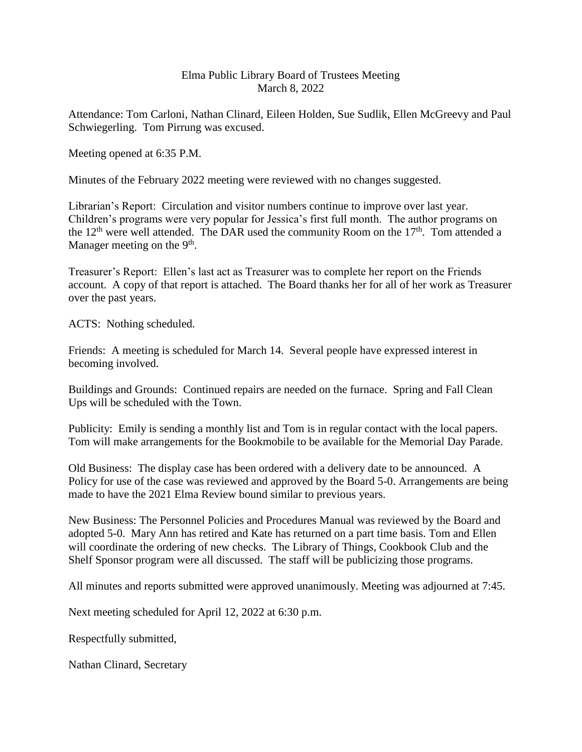## Elma Public Library Board of Trustees Meeting March 8, 2022

Attendance: Tom Carloni, Nathan Clinard, Eileen Holden, Sue Sudlik, Ellen McGreevy and Paul Schwiegerling. Tom Pirrung was excused.

Meeting opened at 6:35 P.M.

Minutes of the February 2022 meeting were reviewed with no changes suggested.

Librarian's Report: Circulation and visitor numbers continue to improve over last year. Children's programs were very popular for Jessica's first full month. The author programs on the  $12<sup>th</sup>$  were well attended. The DAR used the community Room on the  $17<sup>th</sup>$ . Tom attended a Manager meeting on the  $9<sup>th</sup>$ .

Treasurer's Report: Ellen's last act as Treasurer was to complete her report on the Friends account. A copy of that report is attached. The Board thanks her for all of her work as Treasurer over the past years.

ACTS: Nothing scheduled.

Friends: A meeting is scheduled for March 14. Several people have expressed interest in becoming involved.

Buildings and Grounds: Continued repairs are needed on the furnace. Spring and Fall Clean Ups will be scheduled with the Town.

Publicity: Emily is sending a monthly list and Tom is in regular contact with the local papers. Tom will make arrangements for the Bookmobile to be available for the Memorial Day Parade.

Old Business: The display case has been ordered with a delivery date to be announced. A Policy for use of the case was reviewed and approved by the Board 5-0. Arrangements are being made to have the 2021 Elma Review bound similar to previous years.

New Business: The Personnel Policies and Procedures Manual was reviewed by the Board and adopted 5-0. Mary Ann has retired and Kate has returned on a part time basis. Tom and Ellen will coordinate the ordering of new checks. The Library of Things, Cookbook Club and the Shelf Sponsor program were all discussed. The staff will be publicizing those programs.

All minutes and reports submitted were approved unanimously. Meeting was adjourned at 7:45.

Next meeting scheduled for April 12, 2022 at 6:30 p.m.

Respectfully submitted,

Nathan Clinard, Secretary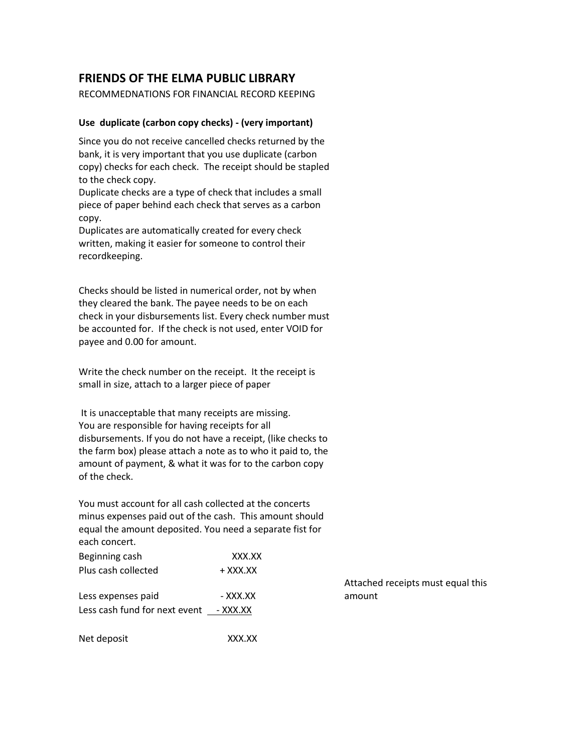## **FRIENDS OF THE ELMA PUBLIC LIBRARY**

RECOMMEDNATIONS FOR FINANCIAL RECORD KEEPING

## **Use duplicate (carbon copy checks) - (very important)**

Since you do not receive cancelled checks returned by the bank, it is very important that you use duplicate (carbon copy) checks for each check. The receipt should be stapled to the check copy.

Duplicate checks are a type of check that includes a small piece of paper behind each check that serves as a carbon copy.

Duplicates are automatically created for every check written, making it easier for someone to control their recordkeeping.

Checks should be listed in numerical order, not by when they cleared the bank. The payee needs to be on each check in your disbursements list. Every check number must be accounted for. If the check is not used, enter VOID for payee and 0.00 for amount.

Write the check number on the receipt. It the receipt is small in size, attach to a larger piece of paper

It is unacceptable that many receipts are missing. You are responsible for having receipts for all disbursements. If you do not have a receipt, (like checks to the farm box) please attach a note as to who it paid to, the amount of payment, & what it was for to the carbon copy of the check.

You must account for all cash collected at the concerts minus expenses paid out of the cash. This amount should equal the amount deposited. You need a separate fist for each concert.

| Beginning cash                         | XXX.XX   |
|----------------------------------------|----------|
| Plus cash collected                    | + XXX.XX |
| Less expenses paid                     | - XXX.XX |
| Less cash fund for next event - XXX.XX |          |
|                                        |          |

Net deposit XXX.XX

Attached receipts must equal this amount